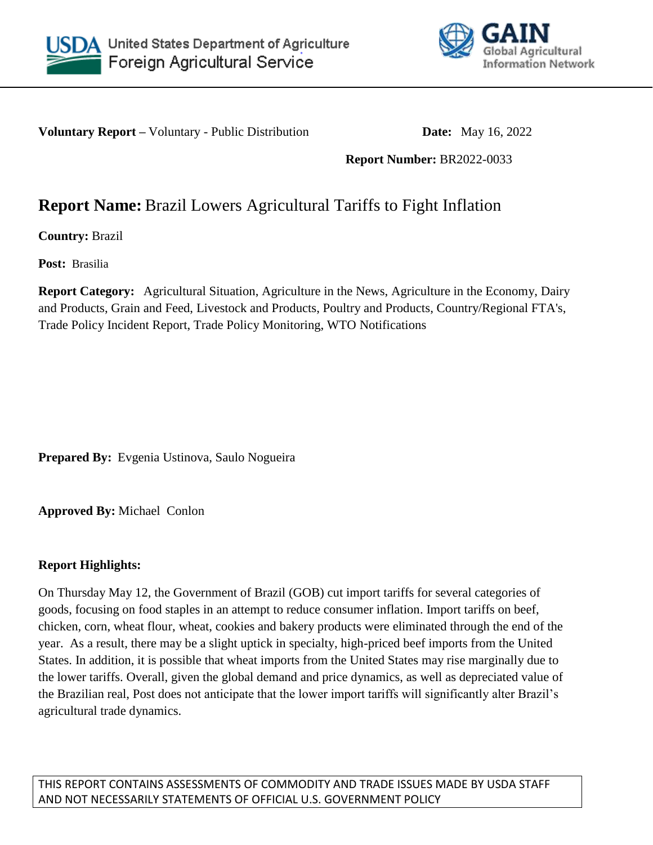



**Voluntary Report –** Voluntary - Public Distribution **Date:** May 16, 2022

# **Report Number:** BR2022-0033

# **Report Name:** Brazil Lowers Agricultural Tariffs to Fight Inflation

**Country:** Brazil

**Post:** Brasilia

**Report Category:** Agricultural Situation, Agriculture in the News, Agriculture in the Economy, Dairy and Products, Grain and Feed, Livestock and Products, Poultry and Products, Country/Regional FTA's, Trade Policy Incident Report, Trade Policy Monitoring, WTO Notifications

**Prepared By:** Evgenia Ustinova, Saulo Nogueira

**Approved By:** Michael Conlon

# **Report Highlights:**

On Thursday May 12, the Government of Brazil (GOB) cut import tariffs for several categories of goods, focusing on food staples in an attempt to reduce consumer inflation. Import tariffs on beef, chicken, corn, wheat flour, wheat, cookies and bakery products were eliminated through the end of the year. As a result, there may be a slight uptick in specialty, high-priced beef imports from the United States. In addition, it is possible that wheat imports from the United States may rise marginally due to the lower tariffs. Overall, given the global demand and price dynamics, as well as depreciated value of the Brazilian real, Post does not anticipate that the lower import tariffs will significantly alter Brazil's agricultural trade dynamics.

THIS REPORT CONTAINS ASSESSMENTS OF COMMODITY AND TRADE ISSUES MADE BY USDA STAFF AND NOT NECESSARILY STATEMENTS OF OFFICIAL U.S. GOVERNMENT POLICY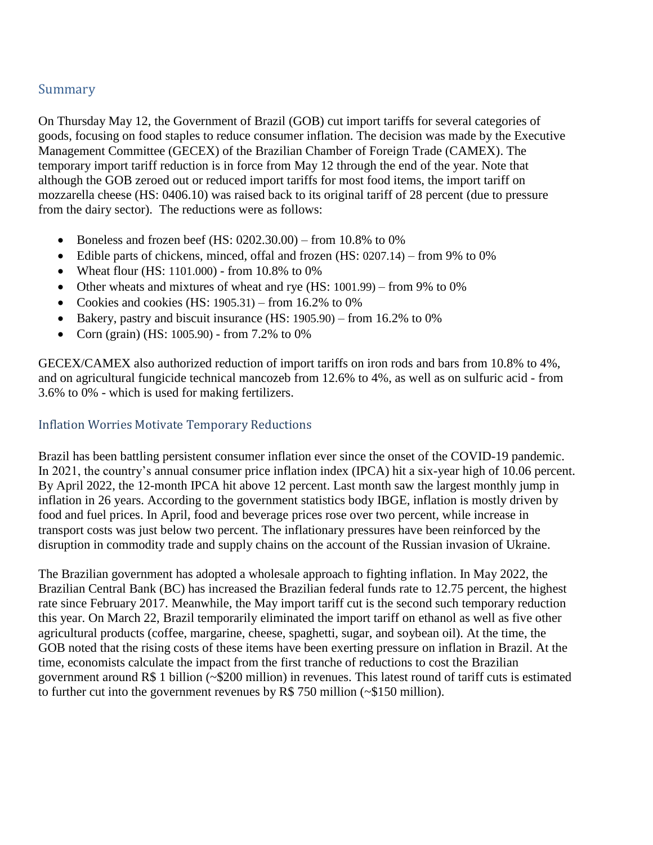## Summary

On Thursday May 12, the Government of Brazil (GOB) cut import tariffs for several categories of goods, focusing on food staples to reduce consumer inflation. The decision was made by the Executive Management Committee (GECEX) of the Brazilian Chamber of Foreign Trade (CAMEX). The temporary import tariff reduction is in force from May 12 through the end of the year. Note that although the GOB zeroed out or reduced import tariffs for most food items, the import tariff on mozzarella cheese (HS: 0406.10) was raised back to its original tariff of 28 percent (due to pressure from the dairy sector). The reductions were as follows:

- Boneless and frozen beef (HS:  $0202.30.00$ ) from 10.8% to 0%
- Edible parts of chickens, minced, offal and frozen (HS: 0207.14) from 9% to 0%
- Wheat flour (HS:  $1101.000$ ) from 10.8% to 0%
- Other wheats and mixtures of wheat and rye (HS: 1001.99) from 9% to 0%
- Cookies and cookies (HS:  $1905.31$ ) from 16.2% to 0%
- Bakery, pastry and biscuit insurance  $(HS: 1905.90)$  from 16.2% to 0%
- Corn (grain) (HS:  $1005.90$ ) from 7.2% to 0%

GECEX/CAMEX also authorized reduction of import tariffs on iron rods and bars from 10.8% to 4%, and on agricultural fungicide technical mancozeb from 12.6% to 4%, as well as on sulfuric acid - from 3.6% to 0% - which is used for making fertilizers.

#### Inflation Worries Motivate Temporary Reductions

Brazil has been battling persistent consumer inflation ever since the onset of the COVID-19 pandemic. In 2021, the country's annual consumer price inflation index (IPCA) hit a six-year high of 10.06 percent. By April 2022, the 12-month IPCA hit above 12 percent. Last month saw the largest monthly jump in inflation in 26 years. According to the government statistics body IBGE, inflation is mostly driven by food and fuel prices. In April, food and beverage prices rose over two percent, while increase in transport costs was just below two percent. The inflationary pressures have been reinforced by the disruption in commodity trade and supply chains on the account of the Russian invasion of Ukraine.

The Brazilian government has adopted a wholesale approach to fighting inflation. In May 2022, the Brazilian Central Bank (BC) has increased the Brazilian federal funds rate to 12.75 percent, the highest rate since February 2017. Meanwhile, the May import tariff cut is the second such temporary reduction this year. On March 22, Brazil temporarily eliminated the import tariff on ethanol as well as five other agricultural products (coffee, margarine, cheese, spaghetti, sugar, and soybean oil). At the time, the GOB noted that the rising costs of these items have been exerting pressure on inflation in Brazil. At the time, economists calculate the impact from the first tranche of reductions to cost the Brazilian government around R\$ 1 billion (~\$200 million) in revenues. This latest round of tariff cuts is estimated to further cut into the government revenues by R\$ 750 million (~\$150 million).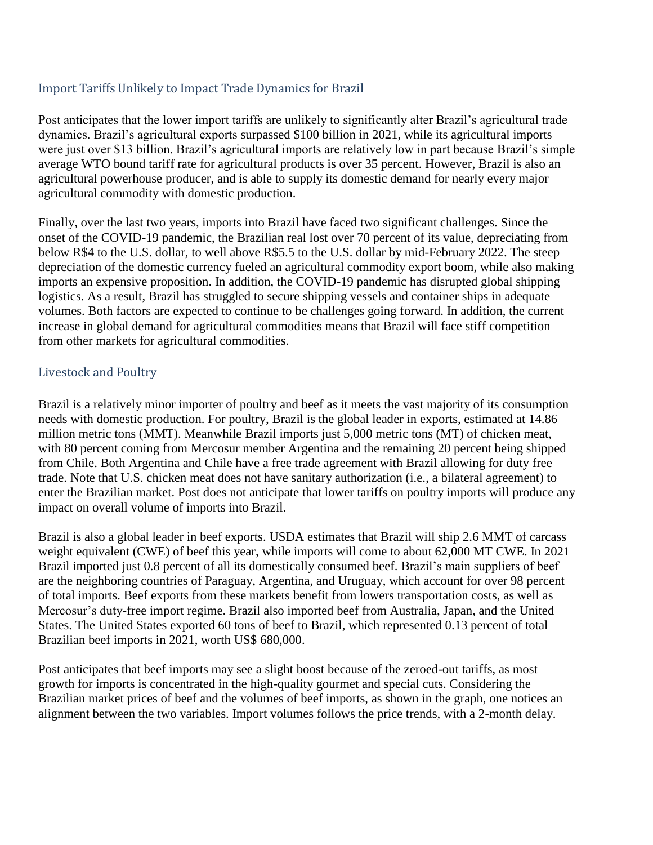## Import Tariffs Unlikely to Impact Trade Dynamics for Brazil

Post anticipates that the lower import tariffs are unlikely to significantly alter Brazil's agricultural trade dynamics. Brazil's agricultural exports surpassed \$100 billion in 2021, while its agricultural imports were just over \$13 billion. Brazil's agricultural imports are relatively low in part because Brazil's simple average WTO bound tariff rate for agricultural products is over 35 percent. However, Brazil is also an agricultural powerhouse producer, and is able to supply its domestic demand for nearly every major agricultural commodity with domestic production.

Finally, over the last two years, imports into Brazil have faced two significant challenges. Since the onset of the COVID-19 pandemic, the Brazilian real lost over 70 percent of its value, depreciating from below R\$4 to the U.S. dollar, to well above R\$5.5 to the U.S. dollar by mid-February 2022. The steep depreciation of the domestic currency fueled an agricultural commodity export boom, while also making imports an expensive proposition. In addition, the COVID-19 pandemic has disrupted global shipping logistics. As a result, Brazil has struggled to secure shipping vessels and container ships in adequate volumes. Both factors are expected to continue to be challenges going forward. In addition, the current increase in global demand for agricultural commodities means that Brazil will face stiff competition from other markets for agricultural commodities.

### Livestock and Poultry

Brazil is a relatively minor importer of poultry and beef as it meets the vast majority of its consumption needs with domestic production. For poultry, Brazil is the global leader in exports, estimated at 14.86 million metric tons (MMT). Meanwhile Brazil imports just 5,000 metric tons (MT) of chicken meat, with 80 percent coming from Mercosur member Argentina and the remaining 20 percent being shipped from Chile. Both Argentina and Chile have a free trade agreement with Brazil allowing for duty free trade. Note that U.S. chicken meat does not have sanitary authorization (i.e., a bilateral agreement) to enter the Brazilian market. Post does not anticipate that lower tariffs on poultry imports will produce any impact on overall volume of imports into Brazil.

Brazil is also a global leader in beef exports. USDA estimates that Brazil will ship 2.6 MMT of carcass weight equivalent (CWE) of beef this year, while imports will come to about 62,000 MT CWE. In 2021 Brazil imported just 0.8 percent of all its domestically consumed beef. Brazil's main suppliers of beef are the neighboring countries of Paraguay, Argentina, and Uruguay, which account for over 98 percent of total imports. Beef exports from these markets benefit from lowers transportation costs, as well as Mercosur's duty-free import regime. Brazil also imported beef from Australia, Japan, and the United States. The United States exported 60 tons of beef to Brazil, which represented 0.13 percent of total Brazilian beef imports in 2021, worth US\$ 680,000.

Post anticipates that beef imports may see a slight boost because of the zeroed-out tariffs, as most growth for imports is concentrated in the high-quality gourmet and special cuts. Considering the Brazilian market prices of beef and the volumes of beef imports, as shown in the graph, one notices an alignment between the two variables. Import volumes follows the price trends, with a 2-month delay.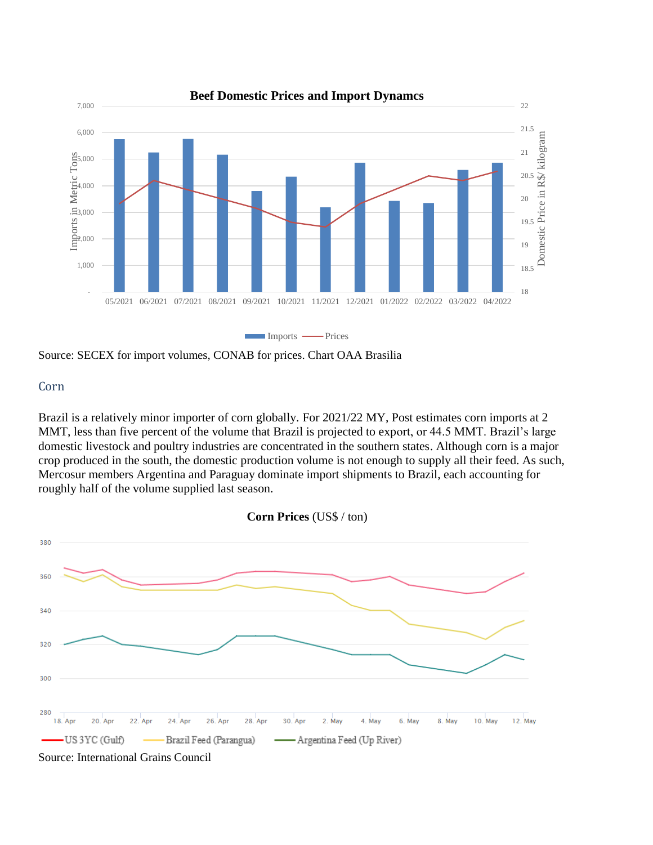

Source: SECEX for import volumes, CONAB for prices. Chart OAA Brasilia

#### Corn

Brazil is a relatively minor importer of corn globally. For 2021/22 MY, Post estimates corn imports at 2 MMT, less than five percent of the volume that Brazil is projected to export, or 44.5 MMT. Brazil's large domestic livestock and poultry industries are concentrated in the southern states. Although corn is a major crop produced in the south, the domestic production volume is not enough to supply all their feed. As such, Mercosur members Argentina and Paraguay dominate import shipments to Brazil, each accounting for roughly half of the volume supplied last season.



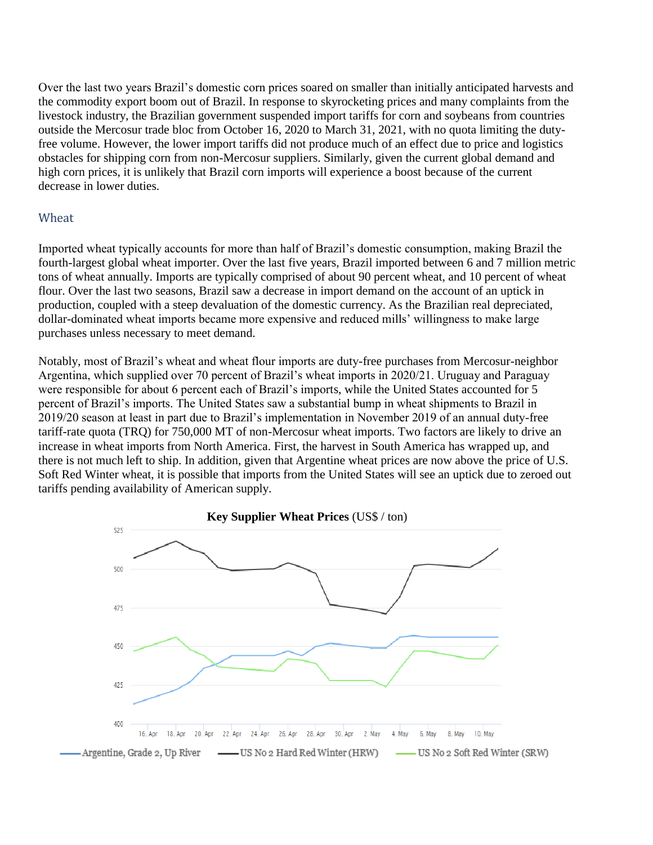Over the last two years Brazil's domestic corn prices soared on smaller than initially anticipated harvests and the commodity export boom out of Brazil. In response to skyrocketing prices and many complaints from the livestock industry, the Brazilian government suspended import tariffs for corn and soybeans from countries outside the Mercosur trade bloc from October 16, 2020 to March 31, 2021, with no quota limiting the dutyfree volume. However, the lower import tariffs did not produce much of an effect due to price and logistics obstacles for shipping corn from non-Mercosur suppliers. Similarly, given the current global demand and high corn prices, it is unlikely that Brazil corn imports will experience a boost because of the current decrease in lower duties.

#### Wheat

Imported wheat typically accounts for more than half of Brazil's domestic consumption, making Brazil the fourth-largest global wheat importer. Over the last five years, Brazil imported between 6 and 7 million metric tons of wheat annually. Imports are typically comprised of about 90 percent wheat, and 10 percent of wheat flour. Over the last two seasons, Brazil saw a decrease in import demand on the account of an uptick in production, coupled with a steep devaluation of the domestic currency. As the Brazilian real depreciated, dollar-dominated wheat imports became more expensive and reduced mills' willingness to make large purchases unless necessary to meet demand.

Notably, most of Brazil's wheat and wheat flour imports are duty-free purchases from Mercosur-neighbor Argentina, which supplied over 70 percent of Brazil's wheat imports in 2020/21. Uruguay and Paraguay were responsible for about 6 percent each of Brazil's imports, while the United States accounted for 5 percent of Brazil's imports. The United States saw a substantial bump in wheat shipments to Brazil in 2019/20 season at least in part due to Brazil's implementation in November 2019 of an annual duty-free tariff-rate quota (TRQ) for 750,000 MT of non-Mercosur wheat imports. Two factors are likely to drive an increase in wheat imports from North America. First, the harvest in South America has wrapped up, and there is not much left to ship. In addition, given that Argentine wheat prices are now above the price of U.S. Soft Red Winter wheat, it is possible that imports from the United States will see an uptick due to zeroed out tariffs pending availability of American supply.